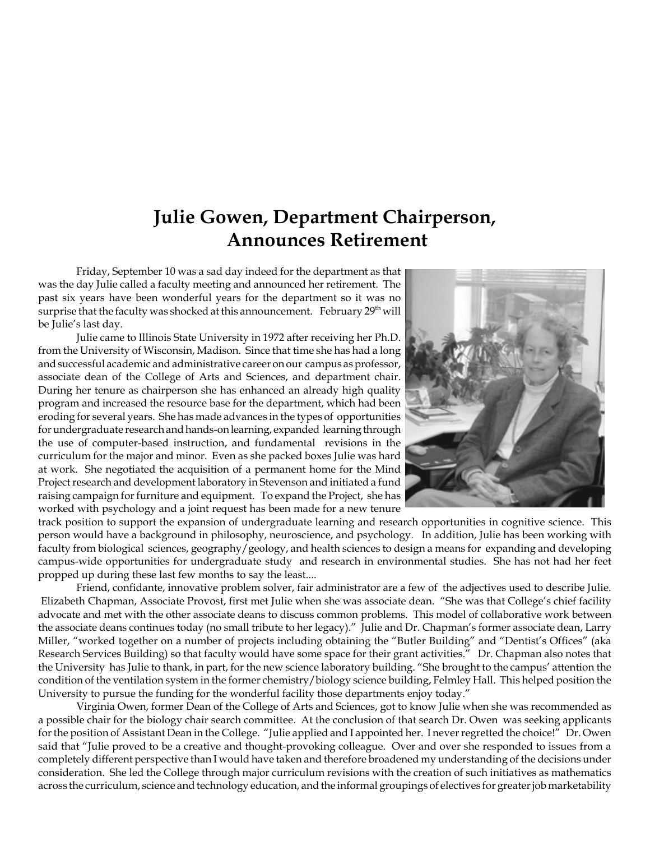### **Julie Gowen, Department Chairperson, Announces Retirement**

Friday, September 10 was a sad day indeed for the department as that was the day Julie called a faculty meeting and announced her retirement. The past six years have been wonderful years for the department so it was no surprise that the faculty was shocked at this announcement. February  $29<sup>th</sup>$  will be Julie's last day.

Julie came to Illinois State University in 1972 after receiving her Ph.D. from the University of Wisconsin, Madison. Since that time she has had a long and successful academic and administrative career on our campus as professor, associate dean of the College of Arts and Sciences, and department chair. During her tenure as chairperson she has enhanced an already high quality program and increased the resource base for the department, which had been eroding for several years. She has made advances in the types of opportunities for undergraduate research and hands-on learning, expanded learning through the use of computer-based instruction, and fundamental revisions in the curriculum for the major and minor. Even as she packed boxes Julie was hard at work. She negotiated the acquisition of a permanent home for the Mind Project research and development laboratory in Stevenson and initiated a fund raising campaign for furniture and equipment. To expand the Project, she has worked with psychology and a joint request has been made for a new tenure



track position to support the expansion of undergraduate learning and research opportunities in cognitive science. This person would have a background in philosophy, neuroscience, and psychology. In addition, Julie has been working with faculty from biological sciences, geography/geology, and health sciences to design a means for expanding and developing campus-wide opportunities for undergraduate study and research in environmental studies. She has not had her feet propped up during these last few months to say the least....

Friend, confidante, innovative problem solver, fair administrator are a few of the adjectives used to describe Julie. Elizabeth Chapman, Associate Provost, first met Julie when she was associate dean. "She was that College's chief facility advocate and met with the other associate deans to discuss common problems. This model of collaborative work between the associate deans continues today (no small tribute to her legacy)." Julie and Dr. Chapman's former associate dean, Larry Miller, "worked together on a number of projects including obtaining the "Butler Building" and "Dentist's Offices" (aka Research Services Building) so that faculty would have some space for their grant activities." Dr. Chapman also notes that the University has Julie to thank, in part, for the new science laboratory building. "She brought to the campus' attention the condition of the ventilation system in the former chemistry/biology science building, Felmley Hall. This helped position the University to pursue the funding for the wonderful facility those departments enjoy today."

Virginia Owen, former Dean of the College of Arts and Sciences, got to know Julie when she was recommended as a possible chair for the biology chair search committee. At the conclusion of that search Dr. Owen was seeking applicants for the position of Assistant Dean in the College. "Julie applied and I appointed her. I never regretted the choice!" Dr. Owen said that "Julie proved to be a creative and thought-provoking colleague. Over and over she responded to issues from a completely different perspective than I would have taken and therefore broadened my understanding of the decisions under consideration. She led the College through major curriculum revisions with the creation of such initiatives as mathematics across the curriculum, science and technology education, and the informal groupings of electives for greater job marketability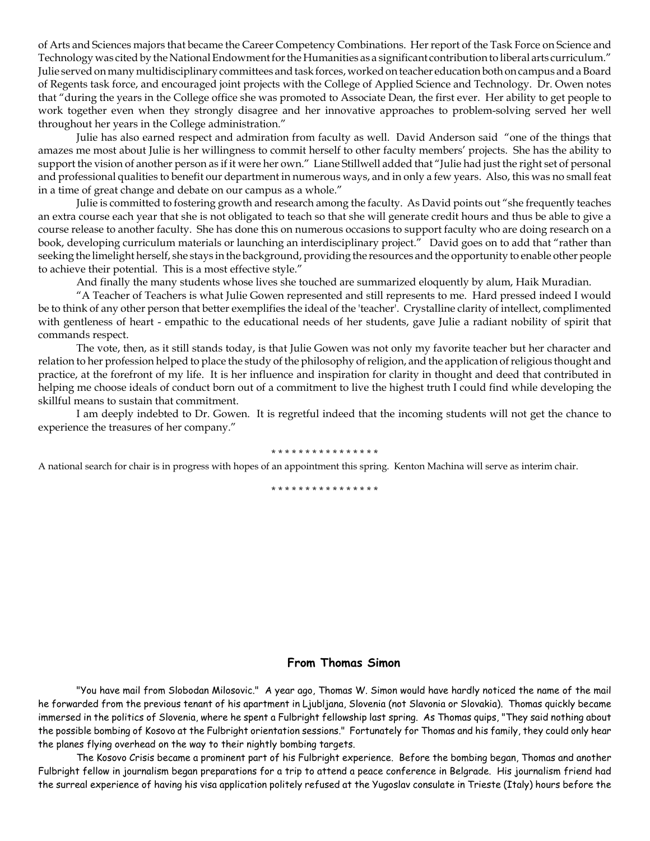of Arts and Sciences majors that became the Career Competency Combinations. Her report of the Task Force on Science and Technology was cited by the National Endowment for the Humanities as a significant contribution to liberal arts curriculum." Julie served on many multidisciplinary committees and task forces, worked on teacher education both on campus and a Board of Regents task force, and encouraged joint projects with the College of Applied Science and Technology. Dr. Owen notes that "during the years in the College office she was promoted to Associate Dean, the first ever. Her ability to get people to work together even when they strongly disagree and her innovative approaches to problem-solving served her well throughout her years in the College administration."

Julie has also earned respect and admiration from faculty as well. David Anderson said "one of the things that amazes me most about Julie is her willingness to commit herself to other faculty members' projects. She has the ability to support the vision of another person as if it were her own." Liane Stillwell added that "Julie had just the right set of personal and professional qualities to benefit our department in numerous ways, and in only a few years. Also, this was no small feat in a time of great change and debate on our campus as a whole."

Julie is committed to fostering growth and research among the faculty. As David points out "she frequently teaches an extra course each year that she is not obligated to teach so that she will generate credit hours and thus be able to give a course release to another faculty. She has done this on numerous occasions to support faculty who are doing research on a book, developing curriculum materials or launching an interdisciplinary project." David goes on to add that "rather than seeking the limelight herself, she stays in the background, providing the resources and the opportunity to enable other people to achieve their potential. This is a most effective style."

And finally the many students whose lives she touched are summarized eloquently by alum, Haik Muradian.

"A Teacher of Teachers is what Julie Gowen represented and still represents to me. Hard pressed indeed I would be to think of any other person that better exemplifies the ideal of the 'teacher'. Crystalline clarity of intellect, complimented with gentleness of heart - empathic to the educational needs of her students, gave Julie a radiant nobility of spirit that commands respect.

The vote, then, as it still stands today, is that Julie Gowen was not only my favorite teacher but her character and relation to her profession helped to place the study of the philosophy of religion, and the application of religious thought and practice, at the forefront of my life. It is her influence and inspiration for clarity in thought and deed that contributed in helping me choose ideals of conduct born out of a commitment to live the highest truth I could find while developing the skillful means to sustain that commitment.

I am deeply indebted to Dr. Gowen. It is regretful indeed that the incoming students will not get the chance to experience the treasures of her company."

#### \* \* \* \* \* \* \* \* \* \* \* \* \* \* \* \*

A national search for chair is in progress with hopes of an appointment this spring. Kenton Machina will serve as interim chair.

\* \* \* \* \* \* \* \* \* \* \* \* \* \* \*

#### **From Thomas Simon**

"You have mail from Slobodan Milosovic." A year ago, Thomas W. Simon would have hardly noticed the name of the mail he forwarded from the previous tenant of his apartment in Ljubljana, Slovenia (not Slavonia or Slovakia). Thomas quickly became immersed in the politics of Slovenia, where he spent a Fulbright fellowship last spring. As Thomas quips, "They said nothing about the possible bombing of Kosovo at the Fulbright orientation sessions." Fortunately for Thomas and his family, they could only hear the planes flying overhead on the way to their nightly bombing targets.

The Kosovo Crisis became a prominent part of his Fulbright experience. Before the bombing began, Thomas and another Fulbright fellow in journalism began preparations for a trip to attend a peace conference in Belgrade. His journalism friend had the surreal experience of having his visa application politely refused at the Yugoslav consulate in Trieste (Italy) hours before the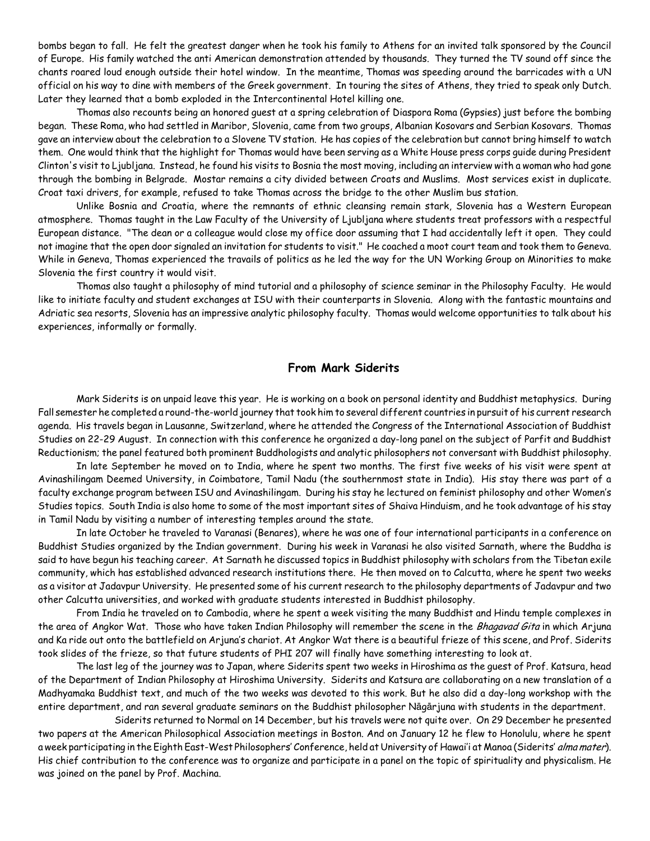bombs began to fall. He felt the greatest danger when he took his family to Athens for an invited talk sponsored by the Council of Europe. His family watched the anti American demonstration attended by thousands. They turned the TV sound off since the chants roared loud enough outside their hotel window. In the meantime, Thomas was speeding around the barricades with a UN official on his way to dine with members of the Greek government. In touring the sites of Athens, they tried to speak only Dutch. Later they learned that a bomb exploded in the Intercontinental Hotel killing one.

Thomas also recounts being an honored guest at a spring celebration of Diaspora Roma (Gypsies) just before the bombing began. These Roma, who had settled in Maribor, Slovenia, came from two groups, Albanian Kosovars and Serbian Kosovars. Thomas gave an interview about the celebration to a Slovene TV station. He has copies of the celebration but cannot bring himself to watch them. One would think that the highlight for Thomas would have been serving as a White House press corps guide during President Clinton's visit to Ljubljana. Instead, he found his visits to Bosnia the most moving, including an interview with a woman who had gone through the bombing in Belgrade. Mostar remains a city divided between Croats and Muslims. Most services exist in duplicate. Croat taxi drivers, for example, refused to take Thomas across the bridge to the other Muslim bus station.

Unlike Bosnia and Croatia, where the remnants of ethnic cleansing remain stark, Slovenia has a Western European atmosphere. Thomas taught in the Law Faculty of the University of Ljubljana where students treat professors with a respectful European distance. "The dean or a colleague would close my office door assuming that I had accidentally left it open. They could not imagine that the open door signaled an invitation for students to visit." He coached a moot court team and took them to Geneva. While in Geneva, Thomas experienced the travails of politics as he led the way for the UN Working Group on Minorities to make Slovenia the first country it would visit.

Thomas also taught a philosophy of mind tutorial and a philosophy of science seminar in the Philosophy Faculty. He would like to initiate faculty and student exchanges at ISU with their counterparts in Slovenia. Along with the fantastic mountains and Adriatic sea resorts, Slovenia has an impressive analytic philosophy faculty. Thomas would welcome opportunities to talk about his experiences, informally or formally.

#### **From Mark Siderits**

Mark Siderits is on unpaid leave this year. He is working on a book on personal identity and Buddhist metaphysics. During Fall semester he completed a round-the-world journey that took him to several different countries in pursuit of his current research agenda. His travels began in Lausanne, Switzerland, where he attended the Congress of the International Association of Buddhist Studies on 22-29 August. In connection with this conference he organized a day-long panel on the subject of Parfit and Buddhist Reductionism; the panel featured both prominent Buddhologists and analytic philosophers not conversant with Buddhist philosophy.

In late September he moved on to India, where he spent two months. The first five weeks of his visit were spent at Avinashilingam Deemed University, in Coimbatore, Tamil Nadu (the southernmost state in India). His stay there was part of a faculty exchange program between ISU and Avinashilingam. During his stay he lectured on feminist philosophy and other Women's Studies topics. South India is also home to some of the most important sites of Shaiva Hinduism, and he took advantage of his stay in Tamil Nadu by visiting a number of interesting temples around the state.

In late October he traveled to Varanasi (Benares), where he was one of four international participants in a conference on Buddhist Studies organized by the Indian government. During his week in Varanasi he also visited Sarnath, where the Buddha is said to have begun his teaching career. At Sarnath he discussed topics in Buddhist philosophy with scholars from the Tibetan exile community, which has established advanced research institutions there. He then moved on to Calcutta, where he spent two weeks as a visitor at Jadavpur University. He presented some of his current research to the philosophy departments of Jadavpur and two other Calcutta universities, and worked with graduate students interested in Buddhist philosophy.

From India he traveled on to Cambodia, where he spent a week visiting the many Buddhist and Hindu temple complexes in the area of Angkor Wat. Those who have taken Indian Philosophy will remember the scene in the *Bhagavad Gita* in which Arjuna and Ka ride out onto the battlefield on Arjuna's chariot. At Angkor Wat there is a beautiful frieze of this scene, and Prof. Siderits took slides of the frieze, so that future students of PHI 207 will finally have something interesting to look at.

The last leg of the journey was to Japan, where Siderits spent two weeks in Hiroshima as the guest of Prof. Katsura, head of the Department of Indian Philosophy at Hiroshima University. Siderits and Katsura are collaborating on a new translation of a Madhyamaka Buddhist text, and much of the two weeks was devoted to this work. But he also did a day-long workshop with the entire department, and ran several graduate seminars on the Buddhist philosopher Nāgārjuna with students in the department.

Siderits returned to Normal on 14 December, but his travels were not quite over. On 29 December he presented two papers at the American Philosophical Association meetings in Boston. And on January 12 he flew to Honolulu, where he spent a week participating in the Eighth East-West Philosophers' Conference, held at University of Hawai'i at Manoa (Siderits' alma mater). His chief contribution to the conference was to organize and participate in a panel on the topic of spirituality and physicalism. He was joined on the panel by Prof. Machina.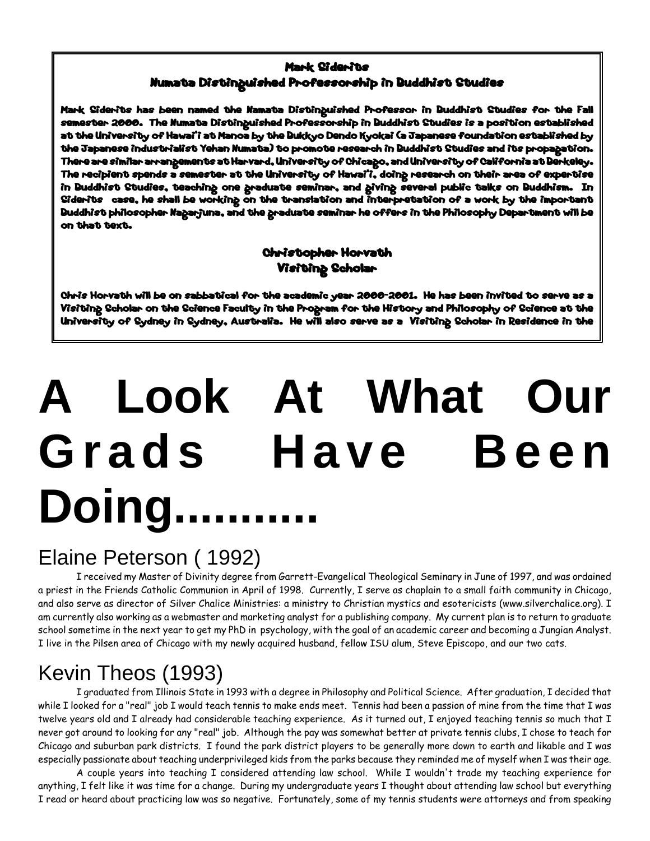#### Mark Siderits Numata Distinguished Professorship in Buddhist Studies

Mark Siderits has been named the Namata Distinguished Professor in Buddhist Studies for the Fall semester 2000. The Numata Distinguished Professorship in Buddhist Studies is a position established at the University of Hawai'i at Manoa by the Bukkyo Dendo Kyokai (a Japanese foundation established by the Japanese industrialist Yehan Numata) to promote research in Buddhist Studies and its propagation. There are similar arrangements at Harvard, University of Chicago, and University of California at Berkeley. The recipient spends a semester at the University of Hawai'i, doing research on their area of expertise in Buddhist Studies, teaching one graduate seminar, and giving several public talks on Buddhism. In Siderits case, he shall be working on the translation and interpretation of a work by the important Buddhist philosopher Nagarjuna, and the graduate seminar he offers in the Philosophy Department will be on that text.

#### Christopher Horvath Visiting Scholar

Chris Horvath will be on sabbatical for the academic year 2000-2001. He has been invited to serve as a Visiting Scholar on the Science Faculty in the Program for the History and Philosophy of Science at the University of Sydney in Sydney, Australia. He will also serve as a Visiting Scholar in Residence in the

# **A Look At What Our Grads Have Been** Doing.

## Elaine Peterson ( 1992)

I received my Master of Divinity degree from Garrett-Evangelical Theological Seminary in June of 1997, and was ordained a priest in the Friends Catholic Communion in April of 1998. Currently, I serve as chaplain to a small faith community in Chicago, and also serve as director of Silver Chalice Ministries: a ministry to Christian mystics and esotericists (www.silverchalice.org). I am currently also working as a webmaster and marketing analyst for a publishing company. My current plan is to return to graduate school sometime in the next year to get my PhD in psychology, with the goal of an academic career and becoming a Jungian Analyst. I live in the Pilsen area of Chicago with my newly acquired husband, fellow ISU alum, Steve Episcopo, and our two cats.

## Kevin Theos (1993)

I graduated from Illinois State in 1993 with a degree in Philosophy and Political Science. After graduation, I decided that while I looked for a "real" job I would teach tennis to make ends meet. Tennis had been a passion of mine from the time that I was twelve years old and I already had considerable teaching experience. As it turned out, I enjoyed teaching tennis so much that I never got around to looking for any "real" job. Although the pay was somewhat better at private tennis clubs, I chose to teach for Chicago and suburban park districts. I found the park district players to be generally more down to earth and likable and I was especially passionate about teaching underprivileged kids from the parks because they reminded me of myself when I was their age.

A couple years into teaching I considered attending law school. While I wouldn't trade my teaching experience for anything, I felt like it was time for a change. During my undergraduate years I thought about attending law school but everything I read or heard about practicing law was so negative. Fortunately, some of my tennis students were attorneys and from speaking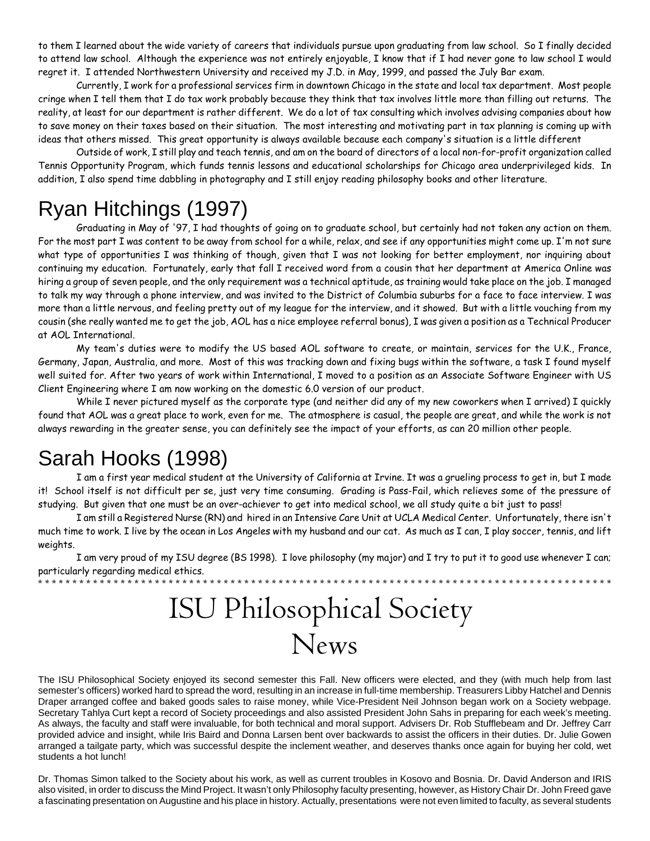to them I learned about the wide variety of careers that individuals pursue upon graduating from law school. So I finally decided to attend law school. Although the experience was not entirely enjoyable, I know that if I had never gone to law school I would regret it. I attended Northwestern University and received my J.D. in May, 1999, and passed the July Bar exam.

Currently, I work for a professional services firm in downtown Chicago in the state and local tax department. Most people cringe when I tell them that I do tax work probably because they think that tax involves little more than filling out returns. The reality, at least for our department is rather different. We do a lot of tax consulting which involves advising companies about how to save money on their taxes based on their situation. The most interesting and motivating part in tax planning is coming up with ideas that others missed. This great opportunity is always available because each company's situation is a little different

Outside of work, I still play and teach tennis, and am on the board of directors of a local non-for-profit organization called Tennis Opportunity Program, which funds tennis lessons and educational scholarships for Chicago area underprivileged kids. In addition, I also spend time dabbling in photography and I still enjoy reading philosophy books and other literature.

## Ryan Hitchings (1997)

Graduating in May of '97, I had thoughts of going on to graduate school, but certainly had not taken any action on them. For the most part I was content to be away from school for a while, relax, and see if any opportunities might come up. I'm not sure what type of opportunities I was thinking of though, given that I was not looking for better employment, nor inquiring about continuing my education. Fortunately, early that fall I received word from a cousin that her department at America Online was hiring a group of seven people, and the only requirement was a technical aptitude, as training would take place on the job. I managed to talk my way through a phone interview, and was invited to the District of Columbia suburbs for a face to face interview. I was more than a little nervous, and feeling pretty out of my league for the interview, and it showed. But with a little vouching from my cousin (she really wanted me to get the job, AOL has a nice employee referral bonus), I was given a position as a Technical Producer at AOL International.

My team's duties were to modify the US based AOL software to create, or maintain, services for the U.K., France, Germany, Japan, Australia, and more. Most of this was tracking down and fixing bugs within the software, a task I found myself well suited for. After two years of work within International, I moved to a position as an Associate Software Engineer with US Client Engineering where I am now working on the domestic 6.0 version of our product.

While I never pictured myself as the corporate type (and neither did any of my new coworkers when I arrived) I quickly found that AOL was a great place to work, even for me. The atmosphere is casual, the people are great, and while the work is not always rewarding in the greater sense, you can definitely see the impact of your efforts, as can 20 million other people.

## Sarah Hooks (1998)

I am a first year medical student at the University of California at Irvine. It was a grueling process to get in, but I made it! School itself is not difficult per se, just very time consuming. Grading is Pass-Fail, which relieves some of the pressure of studying. But given that one must be an over-achiever to get into medical school, we all study quite a bit just to pass!

I am still a Registered Nurse (RN) and hired in an Intensive Care Unit at UCLA Medical Center. Unfortunately, there isn't much time to work. I live by the ocean in Los Angeles with my husband and our cat. As much as I can, I play soccer, tennis, and lift weights.

I am very proud of my ISU degree (BS 1998). I love philosophy (my major) and I try to put it to good use whenever I can; particularly regarding medical ethics. \* \* \* \* \* \* \* \* \* \* \* \* \* \* \* \* \* \* \* \* \* \* \* \* \* \* \* \* \* \* \* \* \* \* \* \* \* \* \* \* \* \* \* \* \* \* \* \* \* \* \* \* \* \* \* \* \* \* \* \* \* \* \* \* \* \* \* \* \* \* \* \* \* \* \* \* \* \* \* \* \* \* \*

## ISU Philosophical Society News

The ISU Philosophical Society enjoyed its second semester this Fall. New officers were elected, and they (with much help from last semester's officers) worked hard to spread the word, resulting in an increase in full-time membership. Treasurers Libby Hatchel and Dennis Draper arranged coffee and baked goods sales to raise money, while Vice-President Neil Johnson began work on a Society webpage. Secretary Tahlya Curt kept a record of Society proceedings and also assisted President John Sahs in preparing for each week's meeting. As always, the faculty and staff were invaluable, for both technical and moral support. Advisers Dr. Rob Stufflebeam and Dr. Jeffrey Carr provided advice and insight, while Iris Baird and Donna Larsen bent over backwards to assist the officers in their duties. Dr. Julie Gowen arranged a tailgate party, which was successful despite the inclement weather, and deserves thanks once again for buying her cold, wet students a hot lunch!

Dr. Thomas Simon talked to the Society about his work, as well as current troubles in Kosovo and Bosnia. Dr. David Anderson and IRIS also visited, in order to discuss the Mind Project. It wasn't only Philosophy faculty presenting, however, as History Chair Dr. John Freed gave a fascinating presentation on Augustine and his place in history. Actually, presentations were not even limited to faculty, as several students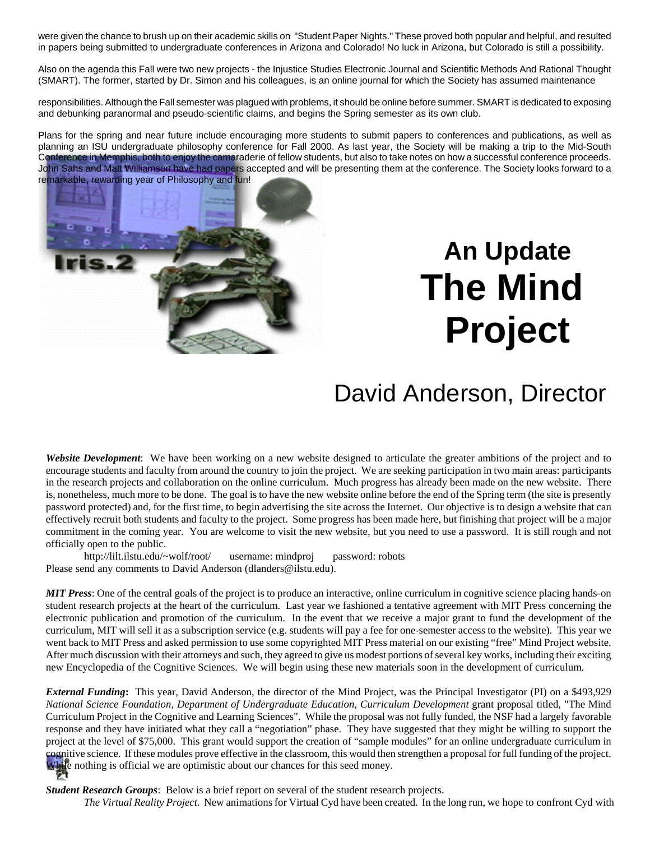were given the chance to brush up on their academic skills on "Student Paper Nights." These proved both popular and helpful, and resulted in papers being submitted to undergraduate conferences in Arizona and Colorado! No luck in Arizona, but Colorado is still a possibility.

Also on the agenda this Fall were two new projects - the Injustice Studies Electronic Journal and Scientific Methods And Rational Thought (SMART). The former, started by Dr. Simon and his colleagues, is an online journal for which the Society has assumed maintenance

responsibilities. Although the Fall semester was plagued with problems, it should be online before summer. SMART is dedicated to exposing and debunking paranormal and pseudo-scientific claims, and begins the Spring semester as its own club.

Plans for the spring and near future include encouraging more students to submit papers to conferences and publications, as well as planning an ISU undergraduate philosophy conference for Fall 2000. As last year, the Society will be making a trip to the Mid-South Conference in Memphis, both to enjoy the camaraderie of fellow students, but also to take notes on how a successful conference proceeds. John Sahs and Matt Williamson have had papers accepted and will be presenting them at the conference. The Society looks forward to a remarkable, rewarding year of Philosophy and fun!



# **An Update The Mind Project**

## David Anderson, Director

*Website Development*: We have been working on a new website designed to articulate the greater ambitions of the project and to encourage students and faculty from around the country to join the project. We are seeking participation in two main areas: participants in the research projects and collaboration on the online curriculum. Much progress has already been made on the new website. There is, nonetheless, much more to be done. The goal is to have the new website online before the end of the Spring term (the site is presently password protected) and, for the first time, to begin advertising the site across the Internet. Our objective is to design a website that can effectively recruit both students and faculty to the project. Some progress has been made here, but finishing that project will be a major commitment in the coming year. You are welcome to visit the new website, but you need to use a password. It is still rough and not officially open to the public.

http://lilt.ilstu.edu/~wolf/root/ username: mindproj password: robots Please send any comments to David Anderson (dlanders@ilstu.edu).

*MIT Press*: One of the central goals of the project is to produce an interactive, online curriculum in cognitive science placing hands-on student research projects at the heart of the curriculum. Last year we fashioned a tentative agreement with MIT Press concerning the electronic publication and promotion of the curriculum. In the event that we receive a major grant to fund the development of the curriculum, MIT will sell it as a subscription service (e.g. students will pay a fee for one-semester access to the website). This year we went back to MIT Press and asked permission to use some copyrighted MIT Press material on our existing "free" Mind Project website. After much discussion with their attorneys and such, they agreed to give us modest portions of several key works, including their exciting new Encyclopedia of the Cognitive Sciences. We will begin using these new materials soon in the development of curriculum.

*External Funding***:** This year, David Anderson, the director of the Mind Project, was the Principal Investigator (PI) on a \$493,929 *National Science Foundation, Department of Undergraduate Education, Curriculum Development* grant proposal titled, "The Mind Curriculum Project in the Cognitive and Learning Sciences". While the proposal was not fully funded, the NSF had a largely favorable response and they have initiated what they call a "negotiation" phase. They have suggested that they might be willing to support the project at the level of \$75,000. This grant would support the creation of "sample modules" for an online undergraduate curriculum in cognitive science. If these modules prove effective in the classroom, this would then strengthen a proposal for full funding of the project. While nothing is official we are optimistic about our chances for this seed money.

*Student Research Groups*: Below is a brief report on several of the student research projects.

*The Virtual Reality Project*. New animations for Virtual Cyd have been created. In the long run, we hope to confront Cyd with